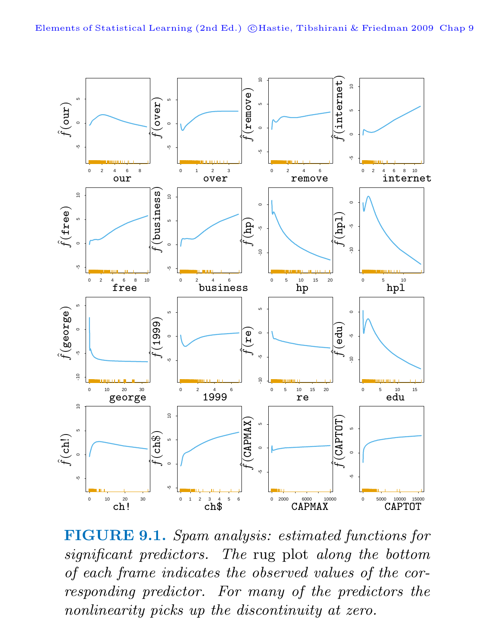

**FIGURE 9.1.** Spam analysis: estimated functions for significant predictors. The rug plot along the bottom of each frame indicates the observed values of the corresponding predictor. For many of the predictors the nonlinearity picks up the discontinuity at zero.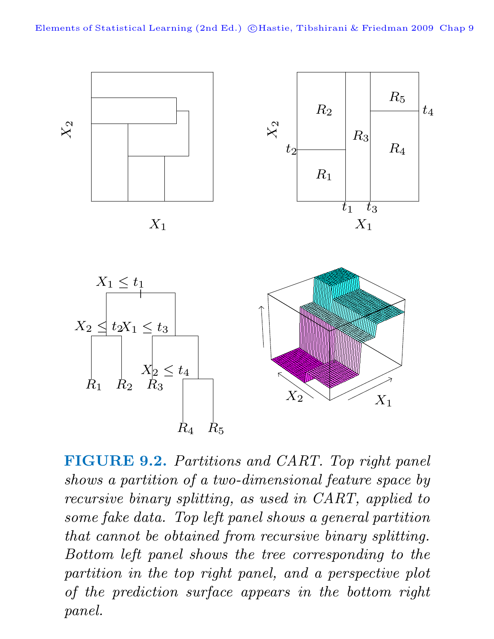

**FIGURE 9.2.** Partitions and CART. Top right panel shows a partition of a two-dimensional feature space by recursive binary splitting, as used in CART, applied to some fake data. Top left panel shows a general partition that cannot be obtained from recursive binary splitting. Bottom left panel shows the tree corresponding to the partition in the top right panel, and a perspective plot of the prediction surface appears in the bottom right panel.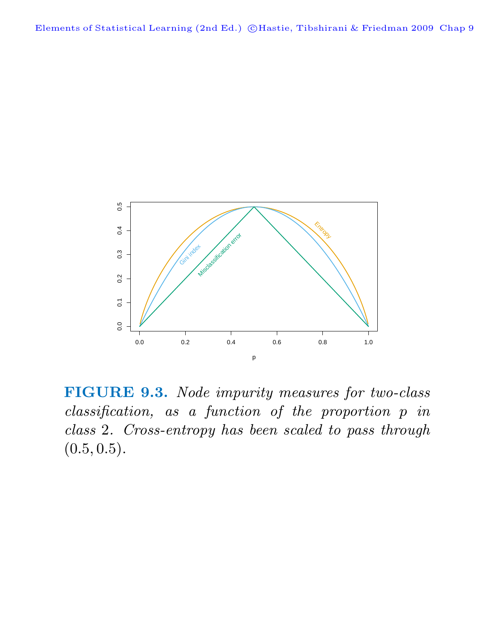

**FIGURE 9.3.** Node impurity measures for two-class classification, as a function of the proportion p in class 2. Cross-entropy has been scaled to pass through  $(0.5, 0.5).$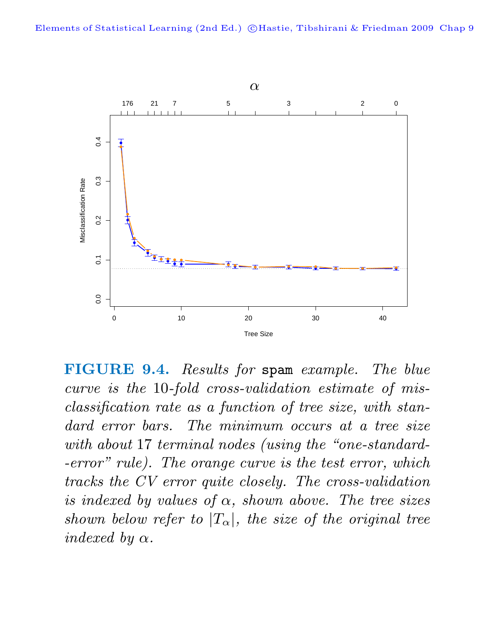

**FIGURE 9.4.** Results for spam example. The blue curve is the 10-fold cross-validation estimate of misclassification rate as a function of tree size, with standard error bars. The minimum occurs at a tree size with about 17 terminal nodes (using the "one-standard--error" rule). The orange curve is the test error, which tracks the CV error quite closely. The cross-validation is indexed by values of  $\alpha$ , shown above. The tree sizes shown below refer to  $|T_{\alpha}|$ , the size of the original tree indexed by  $\alpha$ .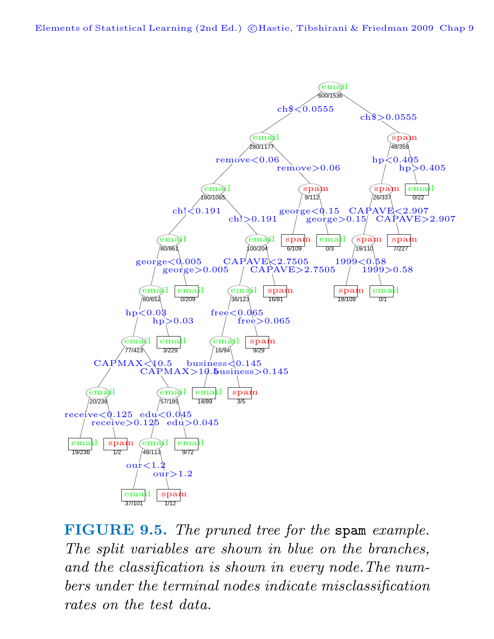Elements of Statistical Learning (2nd Ed.) ©Hastie, Tibshirani & Friedman 2009 Chap 9



**FIGURE 9.5.** The pruned tree for the spam example. The split variables are shown in blue on the branches, and the classification is shown in every node.The numbers under the terminal nodes indicate misclassification rates on the test data.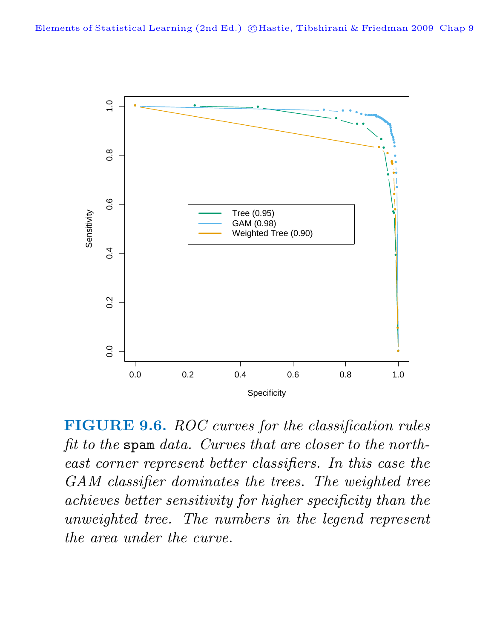

**FIGURE 9.6.** ROC curves for the classification rules fit to the spam data. Curves that are closer to the northeast corner represent better classifiers. In this case the GAM classifier dominates the trees. The weighted tree achieves better sensitivity for higher specificity than the unweighted tree. The numbers in the legend represent the area under the curve.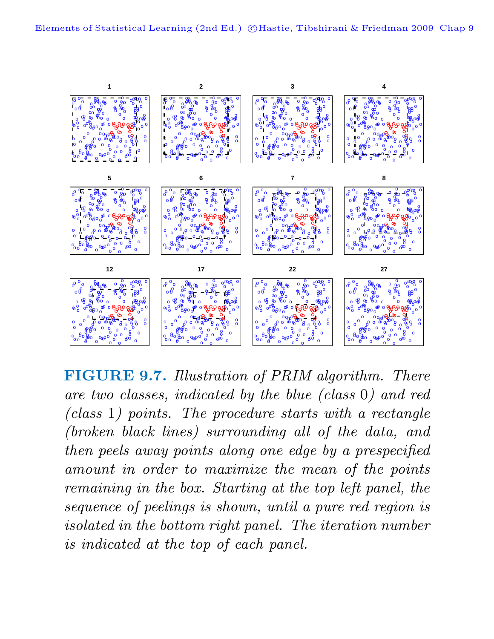

**FIGURE 9.7.** Illustration of PRIM algorithm. There are two classes, indicated by the blue (class 0) and red (class 1) points. The procedure starts with a rectangle (broken black lines) surrounding all of the data, and then peels away points along one edge by a prespecified amount in order to maximize the mean of the points remaining in the box. Starting at the top left panel, the sequence of peelings is shown, until a pure red region is isolated in the bottom right panel. The iteration number is indicated at the top of each panel.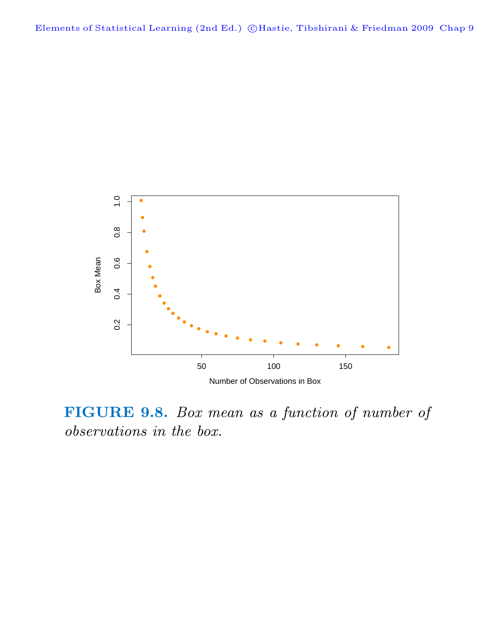

**FIGURE 9.8.** Box mean as a function of number of observations in the box.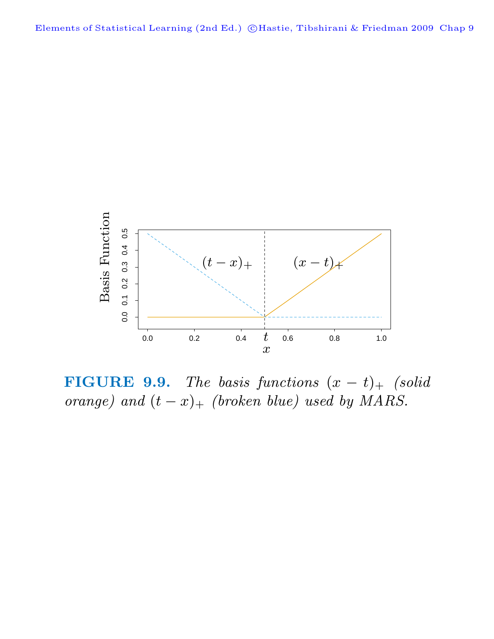

**FIGURE 9.9.** The basis functions  $(x - t)$ + (solid orange) and  $(t - x)$ + (broken blue) used by MARS.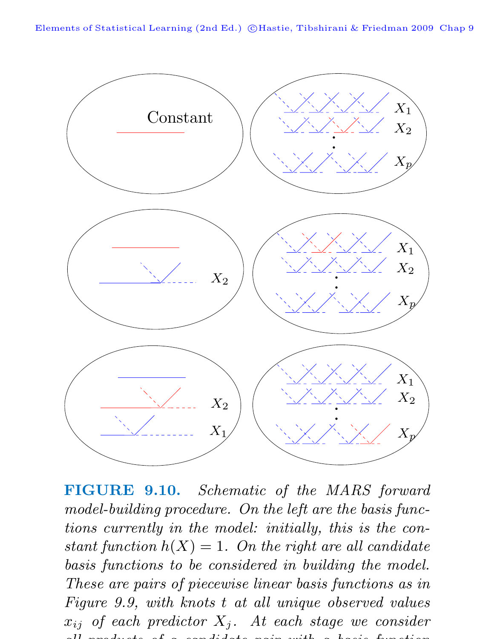

**FIGURE 9.10.** Schematic of the MARS forward model-building procedure. On the left are the basis functions currently in the model: initially, this is the constant function  $h(X)=1$ . On the right are all candidate basis functions to be considered in building the model. These are pairs of piecewise linear basis functions as in Figure 9.9, with knots t at all unique observed values  $x_{ij}$  of each predictor  $X_j$ . At each stage we consider all products of a candidate pair  $\mathbf{r}$  basis function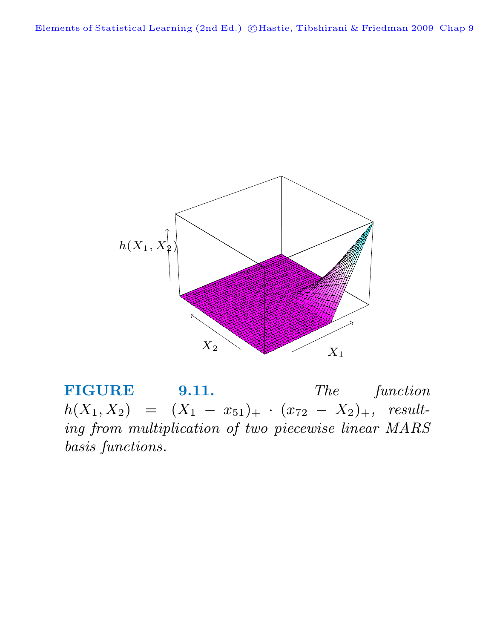Elements of Statistical Learning (2nd Ed.) ©Hastie, Tibshirani & Friedman 2009 Chap 9



**FIGURE 9.11.** The function  $h(X_1, X_2) = (X_1 - x_{51})_+ \cdot (x_{72} - X_2)_+,$  resulting from multiplication of two piecewise linear MARS basis functions.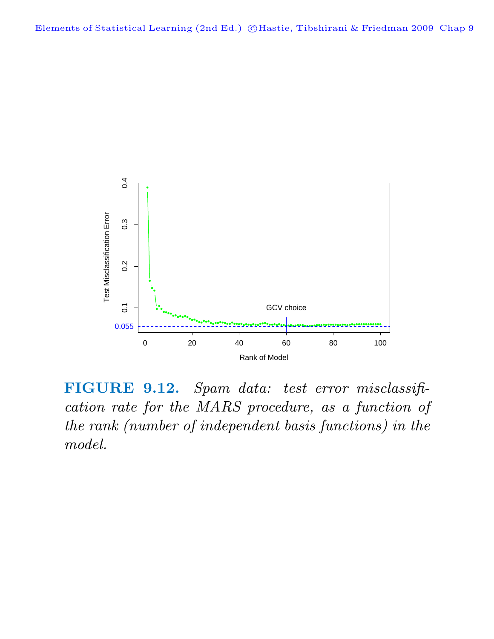

**FIGURE 9.12.** Spam data: test error misclassification rate for the MARS procedure, as a function of the rank (number of independent basis functions) in the model.